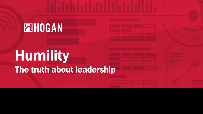# **ENHOGAN**

# Humility The truth about leadership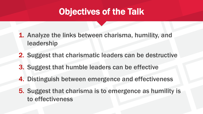# Objectives of the Talk

- 1. Analyze the links between charisma, humility, and leadership
- 2. Suggest that charismatic leaders can be destructive
- 3. Suggest that humble leaders can be effective
- 4. Distinguish between emergence and effectiveness
- 5. Suggest that charisma is to emergence as humility is to effectiveness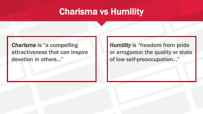#### Charisma vs Humility

#### *Charisma* is "a compelling attractiveness that can inspire devotion in others..."

*Humility* is "freedom from pride or arrogance: the quality or state of low self-preoccupation…"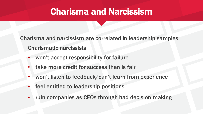#### Charisma and Narcissism

Charisma and narcissism are correlated in leadership samples Charismatic narcissists:

- won't accept responsibility for failure
- take more credit for success than is fair
- won't listen to feedback/can't learn from experience
- feel entitled to leadership positions
- ruin companies as CEOs through bad decision making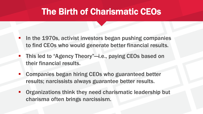## The Birth of Charismatic CEOs

- **In the 1970s, activist investors began pushing companies** to find CEOs who would generate better financial results.
- This led to "Agency Theory"-i.e., paying CEOs based on their financial results.
- Companies began hiring CEOs who guaranteed better results; narcissists always guarantee better results.
- **Organizations think they need charismatic leadership but** charisma often brings narcissism.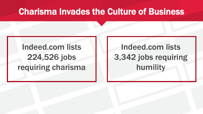#### Charisma Invades the Culture of Business

# Indeed.com lists 224,526 jobs requiring charisma

# Indeed.com lists 3,342 jobs requiring humility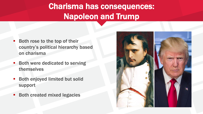# Charisma has consequences: Napoleon and Trump

- Both rose to the top of their country's political hierarchy based on charisma
- Both were dedicated to serving themselves
- **Both enjoyed limited but solid** support
- Both created mixed legacies

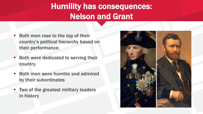# Humility has consequences: Nelson and Grant

- Both men rose to the top of their country's political hierarchy based on their performance.
- **Both were dedicated to serving their** country.
- **Both men were humble and admired** by their subordinates
- Two of the greatest military leaders in history

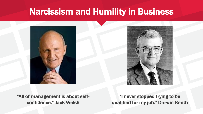## Narcissism and Humility in Business





"All of management is about selfconfidence." Jack Welsh

"I never stopped trying to be qualified for my job." Darwin Smith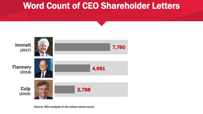# Word Count of CEO Shareholder Letters

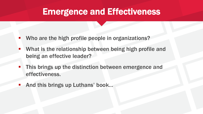#### Emergence and Effectiveness

- Who are the high profile people in organizations?
- What is the relationship between being high profile and being an effective leader?
- **This brings up the distinction between emergence and** effectiveness.
- And this brings up Luthans' book...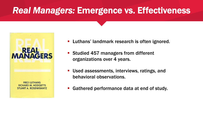# *Real Managers:* Emergence vs. Effectiveness



- **EXTE:** Luthans' landmark research is often ignored.
- Studied 457 managers from different organizations over 4 years.
- Used assessments, interviews, ratings, and behavioral observations.
- Gathered performance data at end of study.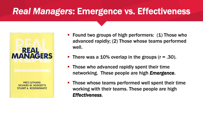# *Real Managers*: Emergence vs. Effectiveness



- Found two groups of high performers: (1) Those who advanced rapidly; (2) Those whose teams performed well.
- **There was a 10% overlap in the groups (r = .30).**
- **Those who advanced rapidly spent their time** networking. These people are high *Emergence*.
- **Those whose teams performed well spent their time** working with their teams. These people are high *Effectiveness*.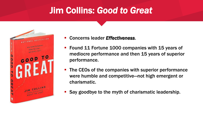# Jim Collins: *Good to Great*



- Concerns leader *Effectiveness*.
- **Found 11 Fortune 1000 companies with 15 years of** mediocre performance and then 15 years of superior performance.
- The CEOs of the companies with superior performance were humble and competitive—not high emergent or charismatic.
- Say goodbye to the myth of charismatic leadership.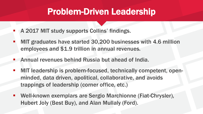#### Problem-Driven Leadership

- **E** A 2017 MIT study supports Collins' findings.
- MIT graduates have started 30,200 businesses with 4.6 million employees and \$1.9 trillion in annual revenues.
- Annual revenues behind Russia but ahead of India.
- MIT leadership is problem-focused, technically competent, openminded, data driven, apolitical, collaborative, and avoids trappings of leadership (corner office, etc.)
- Well-known exemplars are Sergio Marchionne (Fiat-Chrysler), Hubert Joly (Best Buy), and Alan Mullaly (Ford).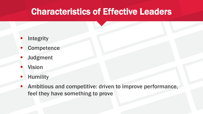# Characteristics of Effective Leaders

- **Integrity**
- **Competence**
- **Judgment**
- **Vision**
- **■** Humility
- Ambitious and competitive: driven to improve performance, feel they have something to prove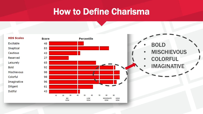#### How to Define Charisma

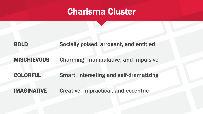#### Charisma Cluster

#### BOLD Socially poised, arrogant, and entitled

#### MISCHIEVOUS Charming, manipulative, and impulsive

COLORFUL Smart, interesting and self-dramatizing

IMAGINATIVE Creative, impractical, and eccentric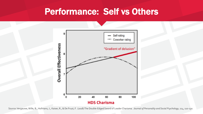#### Performance: Self vs Others



Source: Vergauwe, Wille, B., Hofmans, J., Kaiser, R., & De Fruyt, F. (2018) The Double-Edged Sword of Leader Charisma. *Journal of Personality and Social Psychology*, 114, 110-130.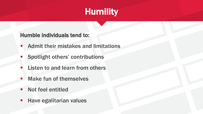# **Humility**

Humble individuals tend to:

- Admit their mistakes and limitations
- Spotlight others' contributions
- Listen to and learn from others
- Make fun of themselves
- Not feel entitled
- **E** Have egalitarian values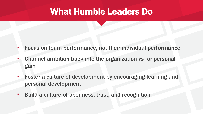#### What Humble Leaders Do

- Focus on team performance, not their individual performance
- Channel ambition back into the organization vs for personal gain
- **Foster a culture of development by encouraging learning and** personal development
- Build a culture of openness, trust, and recognition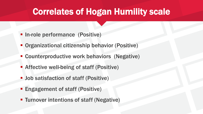# Correlates of Hogan Humility scale

- $\blacksquare$  In-role performance (Positive)
- **Organizational citizenship behavior (Positive)**
- **EXPERITE: Counterproductive work behaviors (Negative)**
- **E** Affective well-being of staff (Positive)
- **D** Job satisfaction of staff (Positive)
- **Engagement of staff (Positive)**
- **EXTENDED Transform Turnover intentions of staff (Negative)**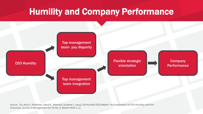# Humility and Company Performance



Source: Ou, Amy Y., Waldmon, David A., Peterson, Suzanne J. (2015). Do Humble CEOs Matter? An Examination of CEO Humility and Firm Outcomes. Journal of Management Vol. XX No. X, Month XXXX 1–27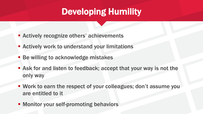# Developing Humility

- **EXECUTE: Actively recognize others' achievements**
- **E** Actively work to understand your limitations
- **EXEC** Be willing to acknowledge mistakes
- Ask for and listen to feedback; accept that your way is not the only way
- Work to earn the respect of your colleagues; don't assume you are entitled to it
- Monitor your self-promoting behaviors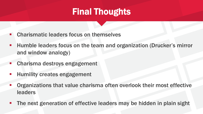# Final Thoughts

- **EXP** Charismatic leaders focus on themselves
- **EXTE:** Humble leaders focus on the team and organization (Drucker's mirror and window analogy)
- **Charisma destroys engagement**
- **EXPLO Humility creates engagement**
- **Organizations that value charisma often overlook their most effective** leaders
- The next generation of effective leaders may be hidden in plain sight